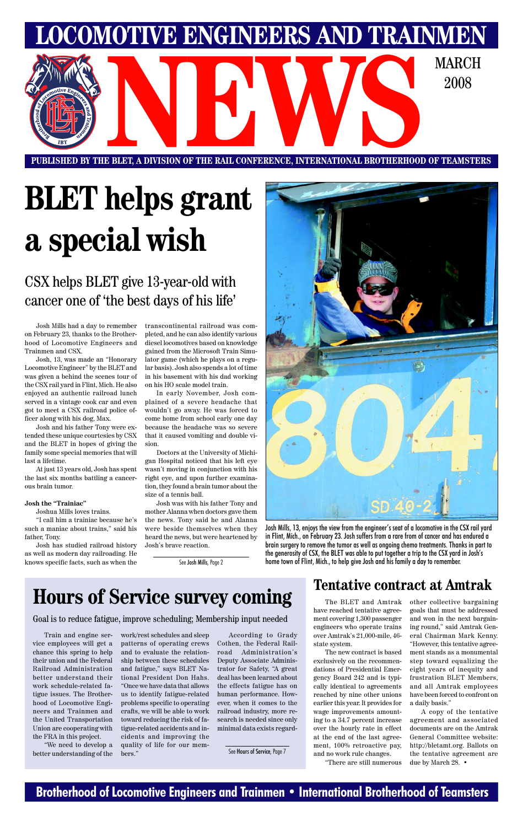### **Brotherhood of Locomotive Engineers and Trainmen • International Brotherhood of Teamsters**

**PUBLISHED BY THE BLET, A DIVISION OF THE RAIL CONFERENCE, INTERNATIONAL BROTHERHOOD OF TEAMSTERS** E BLET, A DIVISION OF THE RAIL CONFERENCE, INTERNATIONAL BROTHERHOOD OF TEAMSTE

**LOMOTIVE ENGINEERS AND TRAINMEI** 

2008

# **BLET helps grant a special wish**

### CSX helps BLET give 13-year-old with cancer one of 'the best days of his life'

Josh Mills had a day to remember on February 23, thanks to the Brotherhood of Locomotive Engineers and Trainmen and CSX.

Josh, 13, was made an "Honorary Locomotive Engineer" by the BLET and was given a behind the scenes tour of the CSX rail yard in Flint, Mich. He also enjoyed an authentic railroad lunch served in a vintage cook car and even got to meet a CSX railroad police officer along with his dog, Max.

Josh and his father Tony were extended these unique courtesies by CSX and the BLET in hopes of giving the family some special memories that will last a lifetime.

At just 13 years old, Josh has spent the last six months battling a cancerous brain tumor.

#### **Josh the "Trainiac"**

Joshua Mills loves trains.

"I call him a trainiac because he's such a maniac about trains," said his father, Tony.

Josh has studied railroad history as well as modern day railroading. He knows specific facts, such as when the transcontinental railroad was completed, and he can also identify various diesel locomotives based on knowledge gained from the Microsoft Train Simulator game (which he plays on a regular basis). Josh also spends a lot of time in his basement with his dad working on his HO scale model train.

In early November, Josh complained of a severe headache that wouldn't go away. He was forced to come home from school early one day because the headache was so severe that it caused vomiting and double vision.

Doctors at the University of Michigan Hospital noticed that his left eye wasn't moving in conjunction with his right eye, and upon further examination, they found a brain tumor about the size of a tennis ball.

Josh was with his father Tony and mother Alanna when doctors gave them the news. Tony said he and Alanna were beside themselves when they heard the news, but were heartened by Josh's brave reaction.



Josh Mills, 13, enjoys the view from the engineer's seat of a locomotive in the CSX rail yard in Flint, Mich., on February 23. Josh suffers from a rare from of cancer and has endured a brain surgery to remove the tumor as well as ongoing chemo treatments. Thanks in part to the generosity of CSX, the BLET was able to put together a trip to the CSX yard in Josh's See Josh Mills, Page 2 home town of Flint, Mich., to help give Josh and his family a day to remember.

**Hours of Service survey coming** Tentative contract at Amtrak

Train and engine service employees will get a chance this spring to help their union and the Federal Railroad Administration better understand their work schedule-related fatigue issues. The Brotherhood of Locomotive Engineers and Trainmen and the United Transportation Union are cooperating with the FRA in this project.

"We need to develop a better understanding of the work/rest schedules and sleep patterns of operating crews and to evaluate the relationship between these schedules and fatigue," says BLET National President Don Hahs. "Once we have data that allows us to identify fatigue-related problems specific to operating crafts, we will be able to work toward reducing the risk of fatigue-related accidents and incidents and improving the quality of life for our members."

According to Grady Cothen, the Federal Railroad Administration's Deputy Associate Administrator for Safety, "A great deal has been learned about the effects fatigue has on human performance. However, when it comes to the railroad industry, more research is needed since only minimal data exists regard-

### Goal is to reduce fatigue, improve scheduling; Membership input needed

See Hours of Service, Page 7

have reached tentative agreement covering 1,300 passenger engineers who operate trains over Amtrak's 21,000-mile, 46 state system.

The BLET and Amtrak other collective bargaining

The new contract is based exclusively on the recommendations of Presidential Emergency Board 242 and is typically identical to agreements reached by nine other unions earlier this year. It provides for wage improvements amounting to a 34.7 percent increase over the hourly rate in effect at the end of the last agreement, 100% retroactive pay, and no work rule changes.

"There are still numerous

goals that must be addressed and won in the next bargaining round," said Amtrak General Chairman Mark Kenny. "However, this tentative agreement stands as a monumental step toward equalizing the eight years of inequity and frustration BLET Members, and all Amtrak employees have been forced to confront on a daily basis."

A copy of the tentative agreement and associated documents are on the Amtrak General Committee website: http://bletamt.org. Ballots on the tentative agreement are due by March 28. •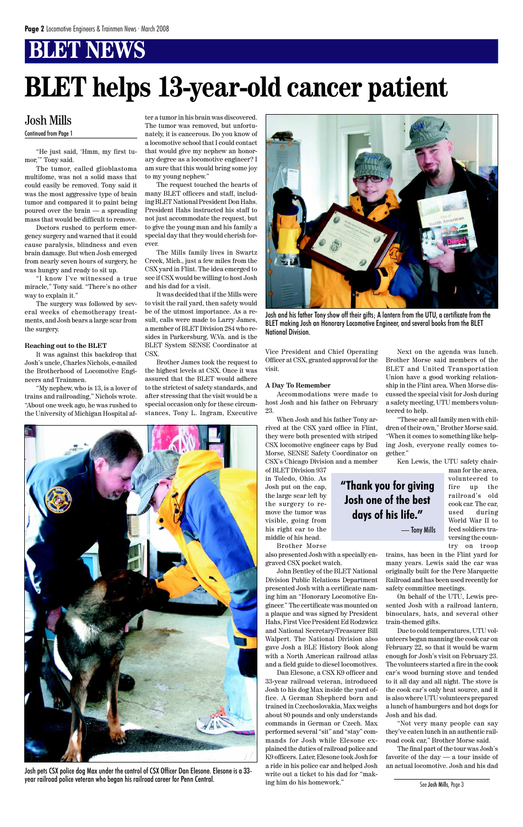### **BLET NEWS**

"He just said, 'Hmm, my first tumor,'" Tony said.

The tumor, called glioblastoma multifome, was not a solid mass that could easily be removed. Tony said it was the most aggressive type of brain tumor and compared it to paint being poured over the brain — a spreading mass that would be difficult to remove.

Doctors rushed to perform emergency surgery and warned that it could cause paralysis, blindness and even brain damage. But when Josh emerged from nearly seven hours of surgery, he was hungry and ready to sit up.

"I know I've witnessed a true miracle," Tony said. "There's no other way to explain it."

The surgery was followed by several weeks of chemotherapy treatments, and Josh bears a large scar from the surgery.

#### **Reaching out to the BLET**

It was against this backdrop that Josh's uncle, Charles Nichols, e-mailed the Brotherhood of Locomotive Engineers and Trainmen.

"My nephew, who is 13, is a lover of trains and railroading," Nichols wrote. "About one week ago, he was rushed to the University of Michigan Hospital af-

ter a tumor in his brain was discovered. The tumor was removed, but unfortunately, it is cancerous. Do you know of a locomotive school that I could contact that would give my nephew an honorary degree as a locomotive engineer? I am sure that this would bring some joy to my young nephew."

The request touched the hearts of many BLET officers and staff, including BLET National President Don Hahs. President Hahs instructed his staff to not just accommodate the request, but to give the young man and his family a special day that they would cherish forever.

The Mills family lives in Swartz Creek, Mich., just a few miles from the CSX yard in Flint. The idea emerged to see if CSX would be willing to host Josh and his dad for a visit.

It was decided that if the Mills were to visit the rail yard, then safety would be of the utmost importance. As a result, calls were made to Larry James, a member of BLET Division 284 who resides in Parkersburg, W.Va. and is the BLET System SENSE Coordinator at CSX.

Brother James took the request to the highest levels at CSX. Once it was assured that the BLET would adhere to the strictest of safety standards, and after stressing that the visit would be a special occasion only for these circumstances, Tony L. Ingram, Executive



Vice President and Chief Operating Officer at CSX, granted approval for the visit.

#### **A Day To Remember**

Accommodations were made to host Josh and his father on February 23.

When Josh and his father Tony arrived at the CSX yard office in Flint, they were both presented with striped CSX locomotive engineer caps by Bud Morse, SENSE Safety Coordinator on CSX's Chicago Division and a member

Josh pets CSX police dog Max under the control of CSX Officer Dan Elesone. Elesone is a 33-<br>Josh pets CSX police dog Max under the control of CSX Officer Dan Elesone. Elesone is a 33-<br> year railroad police veteran who began his railroad career for Penn Central.

of BLET Division 937 in Toledo, Ohio. As Josh put on the cap, the large scar left by the surgery to remove the tumor was visible, going from his right ear to the middle of his head.

Brother Morse

also presented Josh with a specially engraved CSX pocket watch.

John Bentley of the BLET National Division Public Relations Department presented Josh with a certificate naming him an "Honorary Locomotive Engineer." The certificate was mounted on a plaque and was signed by President Hahs, First Vice President Ed Rodzwicz and National Secretary-Treasurer Bill Walpert. The National Division also gave Josh a BLE History Book along with a North American railroad atlas and a field guide to diesel locomotives. Dan Elesone, a CSX K9 officer and 33-year railroad veteran, introduced Josh to his dog Max inside the yard office. A German Shepherd born and trained in Czechoslovakia, Max weighs about 80 pounds and only understands commands in German or Czech. Max performed several "sit" and "stay" commands for Josh while Elesone explained the duties of railroad police and K9 officers. Later, Elesone took Josh for a ride in his police car and helped Josh write out a ticket to his dad for "making him do his homework."

Next on the agenda was lunch. Brother Morse said members of the BLET and United Transportation Union have a good working relationship in the Flint area. When Morse discussed the special visit for Josh during a safety meeting, UTU members volunteered to help.

"These are all family men with children of their own," Brother Morse said. "When it comes to something like helping Josh, everyone really comes together."

Ken Lewis, the UTU safety chair-

man for the area, volunteered to fire up the railroad's old cook car. The car, used during World War II to feed soldiers traversing the country on troop

trains, has been in the Flint yard for many years. Lewis said the car was originally built for the Pere Marquette Railroad and has been used recently for safety committee meetings.

On behalf of the UTU, Lewis presented Josh with a railroad lantern,

binoculars, hats, and several other train-themed gifts.

Due to cold temperatures, UTU volunteers began manning the cook car on February 22, so that it would be warm enough for Josh's visit on February 23. The volunteers started a fire in the cook car's wood burning stove and tended to it all day and all night. The stove is the cook car's only heat source, and it is also where UTU volunteers prepared a lunch of hamburgers and hot dogs for Josh and his dad.

"Not very many people can say they've eaten lunch in an authentic railroad cook car," Brother Morse said.

The final part of the tour was Josh's favorite of the day — a tour inside of

### Josh Mills

Continued from Page 1

# **BLET helps 13-year-old cancer patient**



Josh and his father Tony show off their gifts; A lantern from the UTU, a certificate from the BLET making Josh an Honorary Locomotive Engineer, and several books from the BLET National Division.

See Josh Mills, Page 3

**"Thank you for giving**

**Josh one of the best**

**days of his life."**

— Tony Mills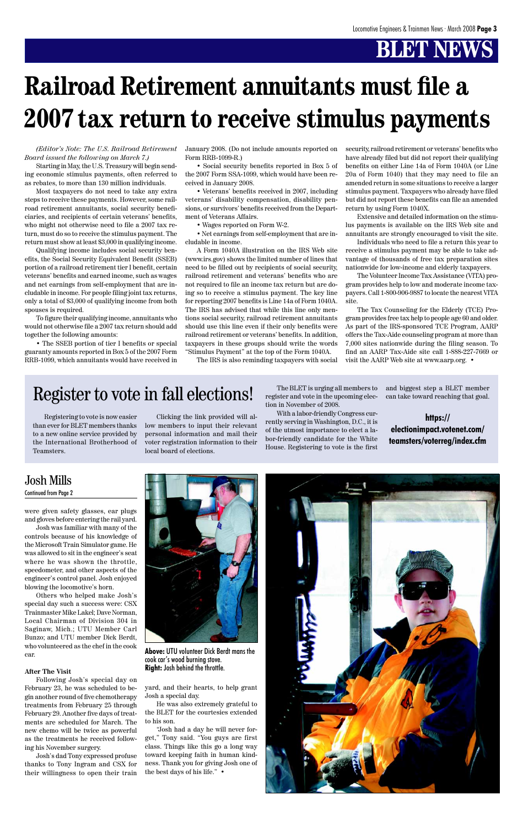## **BLET NEWS**

were given safety glasses, ear plugs and gloves before entering the rail yard.

Josh was familiar with many of the controls because of his knowledge of the Microsoft Train Simulator game. He was allowed to sit in the engineer's seat where he was shown the throttle, speedometer, and other aspects of the engineer's control panel. Josh enjoyed blowing the locomotive's horn.

Others who helped make Josh's special day such a success were: CSX

Trainmaster Mike Lakel; Dave Norman, Local Chairman of Division 304 in Saginaw, Mich.; UTU Member Carl Bunzo; and UTU member Dick Berdt, who volunteered as the chef in the cook car.

#### **After The Visit**

Following Josh's special day on February 23, he was scheduled to begin another round of five chemotherapy treatments from February 25 through February 29. Another five days of treatments are scheduled for March. The new chemo will be twice as powerful as the treatments he received following his November surgery.

Josh's dad Tony expressed profuse thanks to Tony Ingram and CSX for their willingness to open their train

### Josh Mills Continued from Page 2

*(Editor's Note: The U.S. Railroad Retirement Board issued the following on March 7.)*

Starting in May, the U.S. Treasury will begin sending economic stimulus payments, often referred to as rebates, to more than 130 million individuals.

Most taxpayers do not need to take any extra steps to receive these payments. However, some railroad retirement annuitants, social security beneficiaries, and recipients of certain veterans' benefits, who might not otherwise need to file a 2007 tax return, must do so to receive the stimulus payment. The return must show at least \$3,000 in qualifying income.

Qualifying income includes social security benefits, the Social Security Equivalent Benefit (SSEB) portion of a railroad retirement tier I benefit, certain veterans' benefits and earned income, such as wages and net earnings from self-employment that are includable in income. For people filing joint tax returns, only a total of \$3,000 of qualifying income from both spouses is required.

To figure their qualifying income, annuitants who would not otherwise file a 2007 tax return should add together the following amounts:

• The SSEB portion of tier I benefits or special guaranty amounts reported in Box 5 of the 2007 Form RRB-1099, which annuitants would have received in

January 2008. (Do not include amounts reported on Form RRB-1099-R.)

• Social security benefits reported in Box 5 of the 2007 Form SSA-1099, which would have been received in January 2008.

• Veterans' benefits received in 2007, including veterans' disability compensation, disability pensions, or survivors' benefits received from the Department of Veterans Affairs.

• Wages reported on Form W-2.

• Net earnings from self-employment that are includable in income.

A Form 1040A illustration on the IRS Web site (www.irs.gov) shows the limited number of lines that need to be filled out by recipients of social security, railroad retirement and veterans' benefits who are not required to file an income tax return but are doing so to receive a stimulus payment. The key line for reporting 2007 benefits is Line 14a of Form 1040A. The IRS has advised that while this line only mentions social security, railroad retirement annuitants should use this line even if their only benefits were railroad retirement or veterans' benefits. In addition, taxpayers in these groups should write the words "Stimulus Payment" at the top of the Form 1040A.

The IRS is also reminding taxpayers with social

security, railroad retirement or veterans' benefits who have already filed but did not report their qualifying benefits on either Line 14a of Form 1040A (or Line 20a of Form 1040) that they may need to file an amended return in some situations to receive a larger stimulus payment. Taxpayers who already have filed but did not report these benefits can file an amended return by using Form 1040X.

Extensive and detailed information on the stimulus payments is available on the IRS Web site and annuitants are strongly encouraged to visit the site.

Individuals who need to file a return this year to receive a stimulus payment may be able to take advantage of thousands of free tax preparation sites nationwide for low-income and elderly taxpayers.

The Volunteer Income Tax Assistance (VITA) program provides help to low and moderate income taxpayers. Call 1-800-906-9887 to locate the nearest VITA site.

The Tax Counseling for the Elderly (TCE) Program provides free tax help to people age 60 and older. As part of the IRS-sponsored TCE Program, AARP offers the Tax-Aide counseling program at more than 7,000 sites nationwide during the filing season. To find an AARP Tax-Aide site call 1-888-227-7669 or visit the AARP Web site at www.aarp.org. •

# **Railroad Retirement annuitants must file a 2007 tax return to receive stimulus payments**

cook car's wood burning stove. **Right:** Josh behind the throttle.



### Register to vote in fall elections!

**https:// electionimpact.votenet.com/ teamsters/voterreg/index.cfm**

Registering to vote is now easier than ever for BLET members thanks to a new online service provided by the International Brotherhood of Teamsters.

Clicking the link provided will allow members to input their relevant personal information and mail their voter registration information to their local board of elections.

The BLET is urging all members to register and vote in the upcoming election in November of 2008.

With a labor-friendly Congress currently serving in Washington, D.C., it is of the utmost importance to elect a labor-friendly candidate for the White House. Registering to vote is the first and biggest step a BLET member can take toward reaching that goal.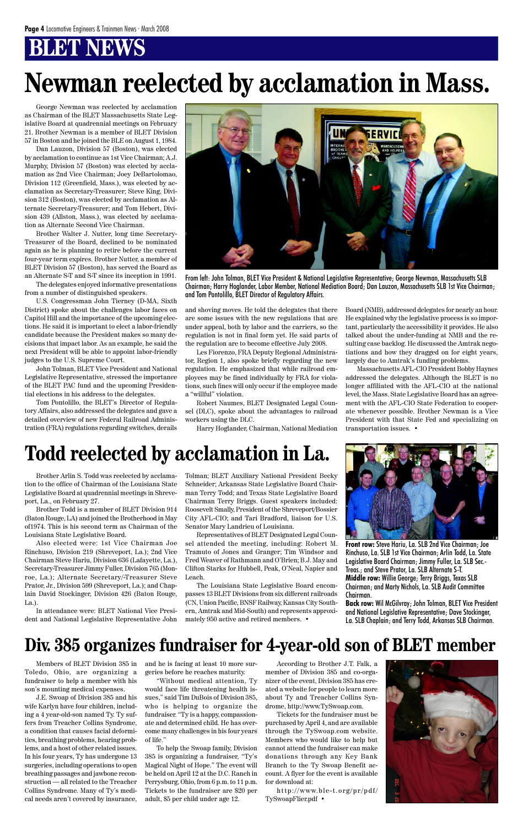## **BT NEWS**

Brother Arlin S. Todd was reelected by acclamation to the office of Chairman of the Louisiana State Legislative Board at quadrennial meetings in Shreveport, La., on February 27.

Brother Todd is a member of BLET Division 914 (Baton Rouge, LA) and joined the Brotherhood in May of1974. This is his second term as Chairman of the Louisiana State Legislative Board.

Also elected were: 1st Vice Chairman Joe Rinchuso, Division 219 (Shreveport, La.); 2nd Vice Chairman Steve Hariu, Division 636 (Lafayette, La.), Secretary-Treasurer Jimmy Fuller, Division 765 (Monroe, La.); Alternate Secretary/-Treasurer Steve Prator, Jr., Division 599 (Shreveport, La.); and Chaplain David Stockinger, Division 426 (Baton Rouge, La.).

Tolman; BLET Auxiliary National President Becky Schneider; Arkansas State Legislative Board Chairman Terry Todd; and Texas State Legislative Board Chairman Terry Briggs. Guest speakers included: Roosevelt Smally, President of the Shreveport/Bossier City AFL-CIO; and Tari Bradford, liaison for U.S. Senator Mary Landrieu of Louisiana.

In attendance were: BLET National Vice Presi-ern, Amtrak and Mid-South) and represents approxi-

dent and National Legislative Representative John mately 950 active and retired members. •

Representatives of BLET Designated Legal Counsel attended the meeting, including: Robert M. Tramuto of Jones and Granger; Tim Windsor and Fred Weaver of Rathmann and O'Brien; B.J. May and Clifton Starks for Hubbell, Peak, O'Neal, Napier and Leach.

The Louisiana State Legislative Board encompasses 13 BLET Divisions from six different railroads (CN, Union Pacific, BNSF Railway, Kansas City South-



**Front row:** Steve Hariu, La. SLB 2nd Vice Chairman; Joe Rinchuso, La. SLB 1st Vice Chairman; Arlin Todd, La. State Legislative Board Chairman; Jimmy Fuller, La. SLB Sec.- Treas.; and Steve Prator, La. SLB Alternate S-T. **Middle row:** Willie George; Terry Briggs, Texas SLB Chairman; and Marty Nichols, La. SLB Audit Committee Chairman.

**Back row:** Wil McGilvray; John Tolman, BLET Vice President

and National Legislative Representative; Dave Stockinger, La. SLB Chaplain; and Terry Todd, Arkansas SLB Chairman.

### **Todd reelected by acclamation in La.**

George Newman was reelected by acclamation as Chairman of the BLET Massachusetts State Legislative Board at quadrennial meetings on February 21. Brother Newman is a member of BLET Division 57 in Boston and he joined the BLE on August 1, 1984.

Dan Lauzon, Division 57 (Boston), was elected by acclamation to continue as 1st Vice Chairman; A.J. Murphy, Division 57 (Boston) was elected by acclamation as 2nd Vice Chairman; Joey DeBartolomao, Division 112 (Greenfield, Mass.), was elected by acclamation as Secretary-Treasurer; Steve King, Division 312 (Boston), was elected by acclamation as Alternate Secretary-Treasurer; and Tom Hebert, Division 439 (Allston, Mass.), was elected by acclamation as Alternate Second Vice Chairman.

Brother Walter J. Nutter, long time Secretary-Treasurer of the Board, declined to be nominated again as he is planning to retire before the current four-year term expires. Brother Nutter, a member of BLET Division 57 (Boston), has served the Board as an Alternate S-T and S-T since its inception in 1991.

The delegates enjoyed informative presentations from a number of distinguished speakers.

U.S. Congressman John Tierney (D-MA, Sixth District) spoke about the challenges labor faces on Capitol Hill and the importance of the upcoming elections. He said it is important to elect a labor-friendly candidate because the President makes so many decisions that impact labor. As an example, he said the next President will be able to appoint labor-friendly judges to the U.S. Supreme Court.

John Tolman, BLET Vice President and National Legislative Representative, stressed the importance of the BLET PAC fund and the upcoming Presidential elections in his address to the delegates.

Tom Pontolillo, the BLET's Director of Regulatory Affairs, also addressed the delegates and gave a detailed overview of new Federal Railroad Administration (FRA) regulations regarding switches, derails

and shoving moves. He told the delegates that there are some issues with the new regulations that are under appeal, both by labor and the carriers, so the regulation is not in final form yet. He said parts of the regulation are to become effective July 2008.

Les Fiorenzo, FRA Deputy Regional Administrator, Region 1, also spoke briefly regarding the new regulation. He emphasized that while railroad employees may be fined individually by FRA for violations, such fines will only occur if the employee made a "willful" violation.

Robert Naumes, BLET Designated Legal Counsel (DLC), spoke about the advantages to railroad workers using the DLC.

Harry Hoglander, Chairman, National Mediation

Board (NMB), addressed delegates for nearly an hour. He explained why the legislative process is so important, particularly the accessibility it provides. He also talked about the under-funding at NMB and the resulting case backlog. He discussed the Amtrak negotiations and how they dragged on for eight years, largely due to Amtrak's funding problems.

Massachusetts AFL-CIO President Bobby Haynes addressed the delegates. Although the BLET is no longer affiliated with the AFL-CIO at the national level, the Mass. State Legislative Board has an agreement with the AFL-CIO State Federation to cooperate whenever possible. Brother Newman is a Vice President with that State Fed and specializing on transportation issues. •



From left: John Tolman, BLET Vice President & National Legislative Representative; George Newman, Massachusetts SLB Chairman; Harry Hoglander, Labor Member, National Mediation Board; Dan Lauzon, Massachusetts SLB 1st Vice Chairman; and Tom Pontolillo, BLET Director of Regulatory Affairs.

## **Newman reelected by acclamation in Mass.**

Members of BLET Division 385 in Toledo, Ohio, are organizing a fundraiser to help a member with his son's mounting medical expenses.

J.E. Swoap of Division 385 and his wife Karlyn have four children, including a 4 year-old-son named Ty. Ty suffers from Treacher Collins Syndrome, a condition that causes facial deformities, breathing problems, hearing problems, and a host of other related issues. In his four years, Ty has undergone 13 surgeries, including operations to open breathing passages and jawbone reconstruction — all related to the Treacher Collins Syndrome. Many of Ty's medical needs aren't covered by insurance, and he is facing at least 10 more surgeries before he reaches maturity.

"Without medical attention, Ty would face life threatening health issues," said Tim DuBois of Division 385, who is helping to organize the fundraiser. "Ty is a happy, compassionate and determined child. He has overcome many challenges in his four years of life."

To help the Swoap family, Division 385 is organizing a fundraiser, "Ty's Magical Night of Hope." The event will be held on April 12 at the D.C. Ranch in Perrysburg, Ohio, from 6 p.m. to 11 p.m. Tickets to the fundraiser are \$20 per adult, \$5 per child under age 12.

According to Brother J.T. Falk, a member of Division 385 and co-organizer of the event, Division 385 has created a website for people to learn more about Ty and Treacher Collins Syndrome, http://www.TySwoap.com.

Tickets for the fundraiser must be purchased by April 4, and are available through the TySwoap.com website. Members who would like to help but cannot attend the fundraiser can make donations through any Key Bank Branch to the Ty Swoap Benefit account. A flyer for the event is available for download at:

http://www.ble-t.org/pr/pdf/ TySwoapFlier.pdf •



### **Div. 385 organizes fundraiser for 4-year-old son of BLET member**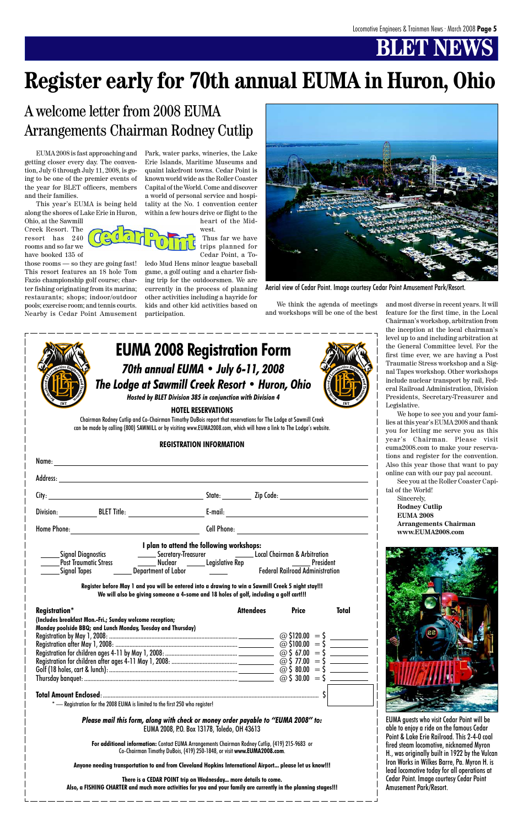## **BT NB**



| Name:                        |                                           |                    |                                                                        |
|------------------------------|-------------------------------------------|--------------------|------------------------------------------------------------------------|
|                              |                                           |                    |                                                                        |
|                              |                                           |                    | State: Zip Code:                                                       |
| Division: BLET Title:        |                                           | $E$ -mail:         |                                                                        |
| <b>Home Phone:</b>           |                                           | <b>Cell Phone:</b> |                                                                        |
|                              |                                           |                    |                                                                        |
|                              | I plan to attend the following workshops: |                    |                                                                        |
| <b>Signal Diagnostics</b>    |                                           |                    |                                                                        |
| <b>Post Traumatic Stress</b> |                                           |                    | ______ Secretary-Treasurer _______________Local Chairman & Arbitration |

| <b>Registration*</b>                                         | <b>Attendees</b> | <b>Price</b>           | <b>Total</b>           |
|--------------------------------------------------------------|------------------|------------------------|------------------------|
| (Includes breakfast Mon.-Fri.; Sunday welcome reception;     |                  |                        |                        |
| Monday poolside BBQ; and Lunch Monday, Tuesday and Thursday) |                  |                        |                        |
|                                                              |                  | $\omega$ \$120.00 = \$ |                        |
|                                                              |                  |                        | $\omega$ \$100.00 = \$ |
|                                                              |                  |                        |                        |
|                                                              |                  |                        |                        |
|                                                              |                  |                        |                        |
|                                                              |                  |                        |                        |
|                                                              |                  |                        |                        |
|                                                              |                  |                        |                        |

 $-$  Registration for the 2008 EUMA is limited to the first 250 who register!

*Please mail this form, along with check or money order payable to "EUMA 2008" to:* EUMA 2008, P.O. Box 13178, Toledo, OH 43613

**For additional information:** Contact EUMA Arrangements Chairman Rodney Cutlip, (419) 215-9683 or Co-Chairman Timothy DuBois, (419) 250-1848, or visit **www.EUMA2008.com**.

**Anyone needing transportation to and from Cleveland Hopkins International Airport... please let us know!!!**

**There is a CEDAR POINT trip on Wednesday... more details to come. Also, a FISHING CHARTER and much more activities for you and your family are currently in the planning stages!!!**

EUMA 2008 is fast approaching and getting closer every day. The convention, July 6 through July 11, 2008, is going to be one of the premier events of the year for BLET officers, members and their families.

This year's EUMA is being held along the shores of Lake Erie in Huron,

Ohio, at the Sawmill Creek Resort. The resort has 240 rooms and so far we have booked 135 of

those rooms — so they are going fast! This resort features an 18 hole Tom Fazio championship golf course; charter fishing originating from its marina; restaurants; shops; indoor/outdoor pools; exercise room; and tennis courts. Nearby is Cedar Point Amusement



heart of the Midwest.

Thus far we have trips planned for Cedar Point, a To-

ledo Mud Hens minor league baseball game, a golf outing and a charter fishing trip for the outdoorsmen. We are currently in the process of planning other activities including a hayride for kids and other kid activities based on participation.

## **Register early for 70th annual EUMA in Huron, Ohio**

### A welcome letter from 2008 EUMA Arrangements Chairman Rodney Cutlip

We think the agenda of meetings and workshops will be one of the best

and most diverse in recent years. It will feature for the first time, in the Local Chairman's workshop, arbitration from the inception at the local chairman's level up to and including arbitration at the General Committee level. For the first time ever, we are having a Post Traumatic Stress workshop and a Signal Tapes workshop. Other workshops include nuclear transport by rail, Federal Railroad Administration, Division Presidents, Secretary-Treasurer and Legislative.

We hope to see you and your families at this year's EUMA 2008 and thank you for letting me serve you as this year's Chairman. Please visit euma2008.com to make your reservations and register for the convention. Also this year those that want to pay online can with our pay pal account.

See you at the Roller Coaster Capital of the World!

Sincerely, **Rodney Cutlip EUMA 2008 Arrangements Chairman www.EUMA2008.com**





Aerial view of Cedar Point. Image courtesy Cedar Point Amusement Park/Resort.

EUMA guests who visit Cedar Point will be able to enjoy a ride on the famous Cedar Point & Lake Erie Railroad. This 2-4-0 coal fired steam locomotive, nicknamed Myron H., was originally built in 1922 by the Vulcan Iron Works in Wilkes Barre, Pa. Myron H. is lead locomotive today for all operations at Cedar Point. Image courtesy Cedar Point Amusement Park/Resort.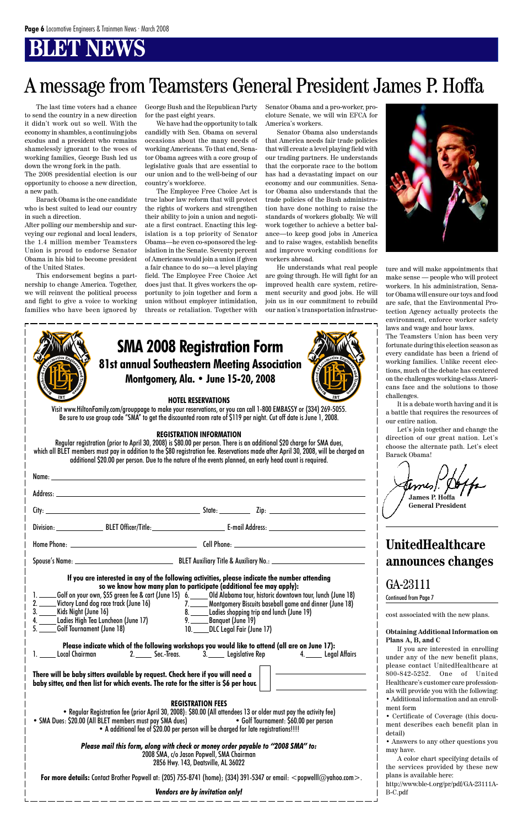## **BT NBWS**

The last time voters had a chance to send the country in a new direction it didn't work out so well. With the economy in shambles, a continuing jobs exodus and a president who remains shamelessly ignorant to the woes of working families, George Bush led us down the wrong fork in the path.

The 2008 presidential election is our opportunity to choose a new direction, a new path.

Barack Obama is the one candidate who is best suited to lead our country in such a direction.

After polling our membership and surveying our regional and local leaders, the 1.4 million member Teamsters Union is proud to endorse Senator Obama in his bid to become president of the United States.

This endorsement begins a partnership to change America. Together, we will reinvent the political process and fight to give a voice to working families who have been ignored by George Bush and the Republican Party for the past eight years.

We have had the opportunity to talk candidly with Sen. Obama on several occasions about the many needs of working Americans. To that end, Senator Obama agrees with a core group of legislative goals that are essential to our union and to the well-being of our country's workforce.

The Employee Free Choice Act is true labor law reform that will protect the rights of workers and strengthen their ability to join a union and negotiate a first contract. Enacting this legislation is a top priority of Senator Obama—he even co-sponsored the legislation in the Senate. Seventy percent of Americans would join a union if given a fair chance to do so—a level playing field. The Employee Free Choice Act does just that. It gives workers the opportunity to join together and form a union without employer intimidation, threats or retaliation. Together with

Senator Obama and a pro-worker, procloture Senate, we will win EFCA for America's workers.

Senator Obama also understands that America needs fair trade policies that will create a level playing field with our trading partners. He understands that the corporate race to the bottom has had a devastating impact on our economy and our communities. Senator Obama also understands that the trade policies of the Bush administration have done nothing to raise the standards of workers globally. We will work together to achieve a better balance—to keep good jobs in America and to raise wages, establish benefits and improve working conditions for workers abroad.

He understands what real people are going through. He will fight for an improved health care system, retirement security and good jobs. He will join us in our commitment to rebuild our nation's transportation infrastruc-



ture and will make appointments that make sense — people who will protect workers. In his administration, Senator Obama will ensure our toys and food are safe, that the Environmental Protection Agency actually protects the environment, enforce worker safety laws and wage and hour laws.

The Teamsters Union has been very fortunate during this election season as every candidate has been a friend of working families. Unlike recent elections, much of the debate has centered on the challenges working-class Americans face and the solutions to those challenges.

It is a debate worth having and it is a battle that requires the resources of our entire nation.

Let's join together and change the direction of our great nation. Let's choose the alternate path. Let's elect Barack Obama!

**James P. Hoffa General President**

| <b>SMA 2008 Registration Form</b>            |  |
|----------------------------------------------|--|
| 81st annual Southeastern Meeting Association |  |
| Montgomery, Ala. • June 15-20, 2008          |  |

#### **HOTEL RESERVATIONS**

Visit www.HiltonFamily.com/grouppage to make your reservations, or you can call 1-800 EMBASSY or (334) 269-5055. Be sure to use group code "SMA" to get the discounted room rate of \$119 per night. Cut off date is June 1, 2008.

#### **REGISTRATION INFORMATION**

Regular registration (prior to April 30, 2008) is \$80.00 per person. There is an additional \$20 charge for SMA dues, which all BLET members must pay in addition to the \$80 registration fee. Reservations made after April 30, 2008, will be charged an additional \$20.00 per person. Due to the nature of the events planned, an early head count is required.

|  | If you are interested in any of the following activities, please indicate the number attending<br>so we know how many plan to participate (additional fee may apply):<br>$\frac{1}{2}$ . The set of $\frac{1}{2}$ is the set of $\frac{1}{2}$ |  |
|--|-----------------------------------------------------------------------------------------------------------------------------------------------------------------------------------------------------------------------------------------------|--|

1. Golf on your own, \$55 green fee & cart (June 15) 2. Victory Land dog race track (June 16)

6. Old Alabama tour, historic downtown tour, lunch (June 18) 7. Montgomery Biscuits baseball game and dinner (June 18)



## A message from Teamsters General President James P. Hoffa

GA-23111 Continued from Page 7

### **UnitedHealthcare announces changes**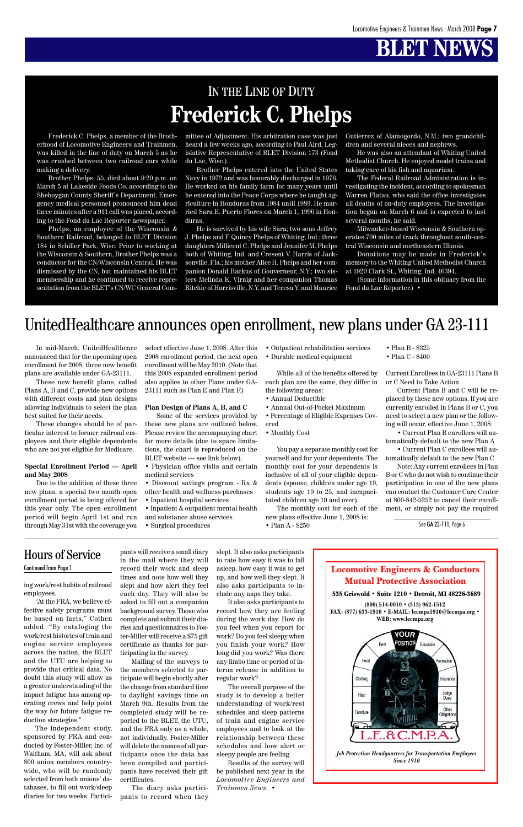Locomotive Engineers & Conductors Mutual Protective Association

535 Griswold • Suite 1210 • Detroit, MI 48226-3689 **(800) 514-0010 • (313) 962-1512**





*Job Protection Headquarters for Transportation Employees Since 1910*

## **BLET NEWS**

ing work/rest habits of railroad employees.

"At the FRA, we believe ef-

fective safety programs must be based on facts," Cothen added. "By cataloging the work/rest histories of train and engine service employees across the nation, the BLET and the UTU are helping to provide that critical data. No doubt this study will allow us a greater understanding of the impact fatigue has among operating crews and help point the way for future fatigue reduction strategies."

The independent study, sponsored by FRA and conducted by Foster-Miller, Inc. of Waltham, MA, will ask about 800 union members countrywide, who will be randomly selected from both unions' databases, to fill out work/sleep diaries for two weeks. Participants will receive a small diary

in the mail where they will record their work and sleep times and note how well they slept and how alert they feel each day. They will also be asked to fill out a companion background survey. Those who complete and submit their diaries and questionnaires to Foster-Miller will receive a \$75 gift certificate as thanks for participating in the survey. Mailing of the surveys to the members selected to participate will begin shortly after the change from standard time to daylight savings time on March 9th. Results from the completed study will be reported to the BLET, the UTU, and the FRA only as a whole, not individually. Foster-Miller will delete the names of all participants once the data has been compiled and participants have received their gift certificates.

The diary asks participants to record when they

### Hours of Service Continued from Page 1

slept. It also asks participants to rate how easy it was to fall asleep, how easy it was to get up, and how well they slept. It also asks participants to include any naps they take.

It also asks participants to

record how they are feeling during the work day. How do you feel when you report for work? Do you feel sleepy when you finish your work? How long did you work? Was there any limbo time or period of interim release in addition to regular work?

The overall purpose of the study is to develop a better understanding of work/rest schedules and sleep patterns of train and engine service employees and to look at the relationship between these schedules and how alert or sleepy people are feeling.

Results of the survey will be published next year in the *Locomotive Engineers and Trainmen News*. •

Frederick C. Phelps, a member of the Brotherhood of Locomotive Engineers and Trainmen, was killed in the line of duty on March 5 as he was crushed between two railroad cars while making a delivery.

Brother Phelps, 55, died about 9:20 p.m. on March 5 at Lakeside Foods Co. according to the Sheboygan County Sheriff's Department. Emergency medical personnel pronounced him dead three minutes after a 911 call was placed, according to the Fond du Lac Reporter newspaper.

Phelps, an employee of the Wisconsin & Southern Railroad, belonged to BLET Division 184 in Schiller Park, Wisc. Prior to working at the Wisconsin & Southern, Brother Phelps was a conductor for the CN/Wisconsin Central. He was dismissed by the CN, but maintained his BLET membership and he continued to receive representation from the BLET's CN/WC General Committee of Adjustment. His arbitration case was just heard a few weeks ago, according to Paul Aird, Legislative Representative of BLET Division 173 (Fond du Lac, Wisc.).

Brother Phelps entered into the United States Navy in 1972 and was honorably discharged in 1976. He worked on his family farm for many years until he entered into the Peace Corps where he taught agriculture in Honduras from 1984 until 1989. He married Sara E. Puerto Flores on March 1, 1996 in Honduras.

He is survived by his wife Sara; two sons Jeffrey J. Phelps and F. Quincy Phelps of Whiting, Ind.; three daughters Millicent C. Phelps and Jennifer M. Phelps both of Whiting, Ind. and Cresent V. Harris of Jacksonville, Fla.; his mother Alice H. Phelps and her companion Donald Backus of Gouverneur, N.Y.; two sisters Melinda K. Virnig and her companion Thomas Ritchie of Harrisville, N.Y. and Teresa Y. and Maurice Gutierrez of Alamogordo, N.M.; two grandchildren and several nieces and nephews.

He was also an attendant of Whiting United Methodist Church. He enjoyed model trains and taking care of his fish and aquarium.

The Federal Railroad Administration is investigating the incident, according to spokesman Warren Flatau, who said the office investigates all deaths of on-duty employees. The investigation began on March 6 and is expected to last several months, he said.

Milwaukee-based Wisconsin & Southern operates 700 miles of track throughout south-central Wisconsin and northeastern Illinois.

Donations may be made in Frederick's memory to the Whiting United Methodist Church at 1920 Clark St., Whiting, Ind. 46394.

(Some information in this obituary from the Fond du Lac Reporter.) •

## IN THE LINE OF DUTY **Frederick C. Phelps**

In mid-March, UnitedHealthcare announced that for the upcoming open enrollment for 2008, three new benefit plans are available under GA-23111.

These new benefit plans, called Plans A, B and C, provide new options with different costs and plan designs allowing individuals to select the plan best suited for their needs.

These changes should be of particular interest to former railroad employees and their eligible dependents who are not yet eligible for Medicare.

#### **Special Enrollment Period — April and May 2008**

Due to the addition of these three new plans, a special two month open enrollment period is being offered for this year only. The open enrollment period will begin April 1st and run through May 31st with the coverage you select effective June 1, 2008. After this 2008 enrollment period, the next open enrollment will be May 2010. (Note that this 2008 expanded enrollment period also applies to other Plans under GA-23111 such as Plan E and Plan F.)

#### **Plan Design of Plans A, B, and C**

Some of the services provided by these new plans are outlined below. Please review the accompanying chart for more details (due to space limitations, the chart is reproduced on the BLET website — see link below).

- Physician office visits and certain medical services
- Discount savings program Rx & other health and wellness purchases
- Inpatient hospital services
- Inpatient & outpatient mental health and substance abuse services
- Surgical procedures

• Outpatient rehabilitation services

• Durable medical equipment

While all of the benefits offered by each plan are the same, they differ in the following areas:

- Annual Deductible
- Annual Out-of-Pocket Maximum

• Percentage of Eligible Expenses Covered

• Monthly Cost

You pay a separate monthly cost for yourself and for your dependents. The monthly cost for your dependents is inclusive of all of your eligible dependents (spouse, children under age 19, students age 19 to 25, and incapacitated children age 19 and over).

The monthly cost for each of the new plans effective June 1, 2008 is:

• Plan A - \$250

- Plan B \$325
- Plan C \$400

Current Enrollees in GA-23111 Plans B or C Need to Take Action

Current Plans B and C will be replaced by these new options. If you are currently enrolled in Plans B or C, you need to select a new plan or the following will occur, effective June 1, 2008:

• Current Plan B enrollees will automatically default to the new Plan A

• Current Plan C enrollees will automatically default to the new Plan C

Note: Any current enrollees in Plan B or C who do not wish to continue their participation in one of the new plans can contact the Customer Care Center at 800-842-5252 to cancel their enrollment, or simply not pay the required

### UnitedHealthcare announces open enrollment, new plans under GA 23-111

See GA 23-111, Page 6